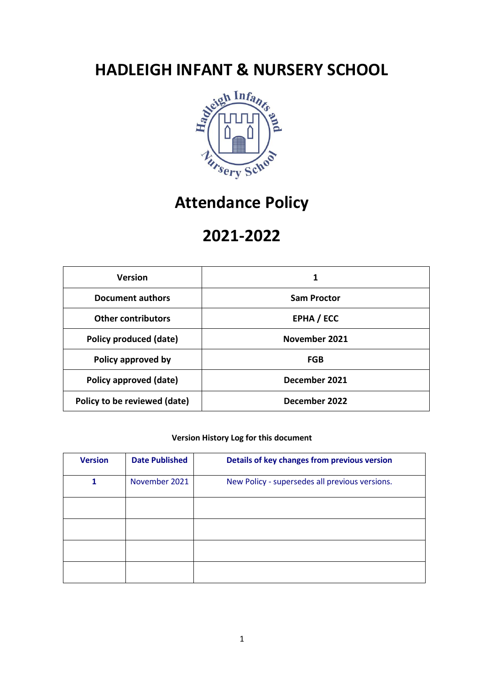

# **Attendance Policy**

# **2021-2022**

| <b>Version</b>                | 1                  |  |
|-------------------------------|--------------------|--|
| <b>Document authors</b>       | <b>Sam Proctor</b> |  |
| <b>Other contributors</b>     | EPHA / ECC         |  |
| <b>Policy produced (date)</b> | November 2021      |  |
| Policy approved by            | <b>FGB</b>         |  |
| Policy approved (date)        | December 2021      |  |
| Policy to be reviewed (date)  | December 2022      |  |

### **Version History Log for this document**

| <b>Version</b> | <b>Date Published</b> | Details of key changes from previous version   |
|----------------|-----------------------|------------------------------------------------|
| 1              | November 2021         | New Policy - supersedes all previous versions. |
|                |                       |                                                |
|                |                       |                                                |
|                |                       |                                                |
|                |                       |                                                |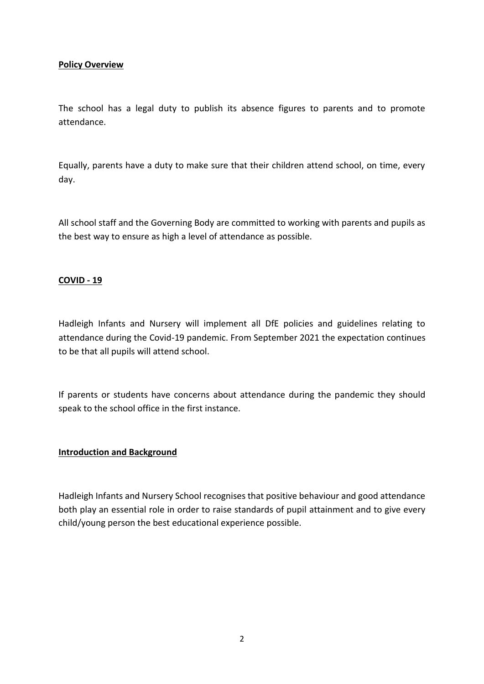# **Policy Overview**

The school has a legal duty to publish its absence figures to parents and to promote attendance.

Equally, parents have a duty to make sure that their children attend school, on time, every day.

All school staff and the Governing Body are committed to working with parents and pupils as the best way to ensure as high a level of attendance as possible.

### **COVID - 19**

Hadleigh Infants and Nursery will implement all DfE policies and guidelines relating to attendance during the Covid-19 pandemic. From September 2021 the expectation continues to be that all pupils will attend school.

If parents or students have concerns about attendance during the pandemic they should speak to the school office in the first instance.

#### **Introduction and Background**

Hadleigh Infants and Nursery School recognises that positive behaviour and good attendance both play an essential role in order to raise standards of pupil attainment and to give every child/young person the best educational experience possible.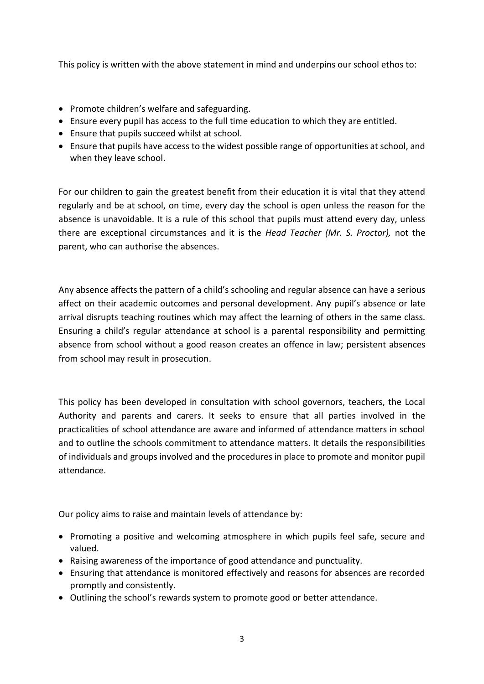This policy is written with the above statement in mind and underpins our school ethos to:

- Promote children's welfare and safeguarding.
- Ensure every pupil has access to the full time education to which they are entitled.
- Ensure that pupils succeed whilst at school.
- Ensure that pupils have access to the widest possible range of opportunities at school, and when they leave school.

For our children to gain the greatest benefit from their education it is vital that they attend regularly and be at school, on time, every day the school is open unless the reason for the absence is unavoidable. It is a rule of this school that pupils must attend every day, unless there are exceptional circumstances and it is the *Head Teacher (Mr. S. Proctor),* not the parent, who can authorise the absences.

Any absence affects the pattern of a child's schooling and regular absence can have a serious affect on their academic outcomes and personal development. Any pupil's absence or late arrival disrupts teaching routines which may affect the learning of others in the same class. Ensuring a child's regular attendance at school is a parental responsibility and permitting absence from school without a good reason creates an offence in law; persistent absences from school may result in prosecution.

This policy has been developed in consultation with school governors, teachers, the Local Authority and parents and carers. It seeks to ensure that all parties involved in the practicalities of school attendance are aware and informed of attendance matters in school and to outline the schools commitment to attendance matters. It details the responsibilities of individuals and groups involved and the procedures in place to promote and monitor pupil attendance.

Our policy aims to raise and maintain levels of attendance by:

- Promoting a positive and welcoming atmosphere in which pupils feel safe, secure and valued.
- Raising awareness of the importance of good attendance and punctuality.
- Ensuring that attendance is monitored effectively and reasons for absences are recorded promptly and consistently.
- Outlining the school's rewards system to promote good or better attendance.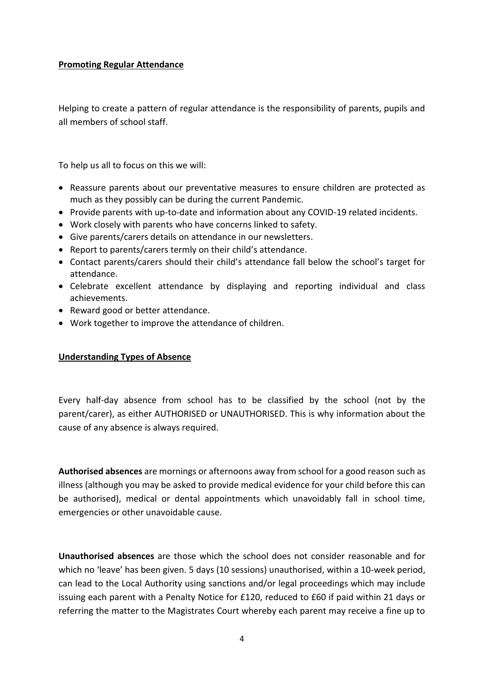# **Promoting Regular Attendance**

Helping to create a pattern of regular attendance is the responsibility of parents, pupils and all members of school staff.

To help us all to focus on this we will:

- Reassure parents about our preventative measures to ensure children are protected as much as they possibly can be during the current Pandemic.
- Provide parents with up-to-date and information about any COVID-19 related incidents.
- Work closely with parents who have concerns linked to safety.
- Give parents/carers details on attendance in our newsletters.
- Report to parents/carers termly on their child's attendance.
- Contact parents/carers should their child's attendance fall below the school's target for attendance.
- Celebrate excellent attendance by displaying and reporting individual and class achievements.
- Reward good or better attendance.
- Work together to improve the attendance of children.

#### **Understanding Types of Absence**

Every half-day absence from school has to be classified by the school (not by the parent/carer), as either AUTHORISED or UNAUTHORISED. This is why information about the cause of any absence is always required.

**Authorised absences** are mornings or afternoons away from school for a good reason such as illness (although you may be asked to provide medical evidence for your child before this can be authorised), medical or dental appointments which unavoidably fall in school time, emergencies or other unavoidable cause.

**Unauthorised absences** are those which the school does not consider reasonable and for which no 'leave' has been given. 5 days (10 sessions) unauthorised, within a 10-week period, can lead to the Local Authority using sanctions and/or legal proceedings which may include issuing each parent with a Penalty Notice for £120, reduced to £60 if paid within 21 days or referring the matter to the Magistrates Court whereby each parent may receive a fine up to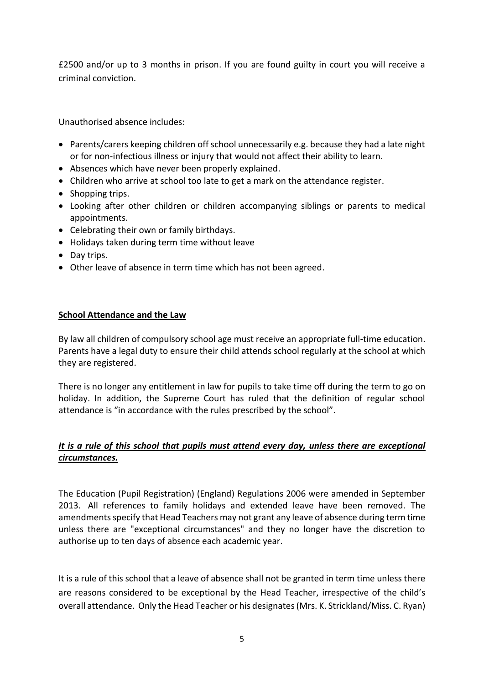£2500 and/or up to 3 months in prison. If you are found guilty in court you will receive a criminal conviction.

Unauthorised absence includes:

- Parents/carers keeping children off school unnecessarily e.g. because they had a late night or for non-infectious illness or injury that would not affect their ability to learn.
- Absences which have never been properly explained.
- Children who arrive at school too late to get a mark on the attendance register.
- Shopping trips.
- Looking after other children or children accompanying siblings or parents to medical appointments.
- Celebrating their own or family birthdays.
- Holidays taken during term time without leave
- Day trips.
- Other leave of absence in term time which has not been agreed.

#### **School Attendance and the Law**

By law all children of compulsory school age must receive an appropriate full-time education. Parents have a legal duty to ensure their child attends school regularly at the school at which they are registered.

There is no longer any entitlement in law for pupils to take time off during the term to go on holiday. In addition, the Supreme Court has ruled that the definition of regular school attendance is "in accordance with the rules prescribed by the school".

# *It is a rule of this school that pupils must attend every day, unless there are exceptional circumstances.*

The Education (Pupil Registration) (England) Regulations 2006 were amended in September 2013. All references to family holidays and extended leave have been removed. The amendments specify that Head Teachers may not grant any leave of absence during term time unless there are "exceptional circumstances" and they no longer have the discretion to authorise up to ten days of absence each academic year.

It is a rule of this school that a leave of absence shall not be granted in term time unless there are reasons considered to be exceptional by the Head Teacher, irrespective of the child's overall attendance. Only the Head Teacher or his designates(Mrs. K. Strickland/Miss. C. Ryan)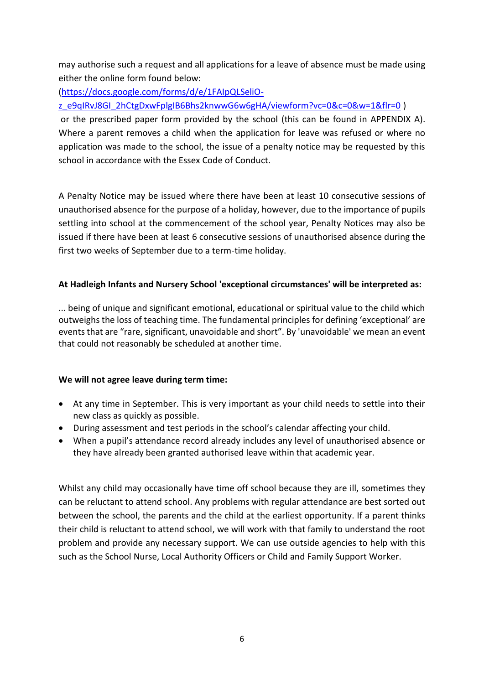may authorise such a request and all applications for a leave of absence must be made using either the online form found below:

[\(https://docs.google.com/forms/d/e/1FAIpQLSeliO-](https://docs.google.com/forms/d/e/1FAIpQLSeliO-z_e9qIRvJ8GI_2hCtgDxwFplgIB6Bhs2knwwG6w6gHA/viewform?vc=0&c=0&w=1&flr=0)

[z\\_e9qIRvJ8GI\\_2hCtgDxwFplgIB6Bhs2knwwG6w6gHA/viewform?vc=0&c=0&w=1&flr=0](https://docs.google.com/forms/d/e/1FAIpQLSeliO-z_e9qIRvJ8GI_2hCtgDxwFplgIB6Bhs2knwwG6w6gHA/viewform?vc=0&c=0&w=1&flr=0) )

or the prescribed paper form provided by the school (this can be found in APPENDIX A). Where a parent removes a child when the application for leave was refused or where no application was made to the school, the issue of a penalty notice may be requested by this school in accordance with the Essex Code of Conduct.

A Penalty Notice may be issued where there have been at least 10 consecutive sessions of unauthorised absence for the purpose of a holiday, however, due to the importance of pupils settling into school at the commencement of the school year, Penalty Notices may also be issued if there have been at least 6 consecutive sessions of unauthorised absence during the first two weeks of September due to a term-time holiday.

# **At Hadleigh Infants and Nursery School 'exceptional circumstances' will be interpreted as:**

... being of unique and significant emotional, educational or spiritual value to the child which outweighs the loss of teaching time. The fundamental principles for defining 'exceptional' are events that are "rare, significant, unavoidable and short". By 'unavoidable' we mean an event that could not reasonably be scheduled at another time.

# **We will not agree leave during term time:**

- At any time in September. This is very important as your child needs to settle into their new class as quickly as possible.
- During assessment and test periods in the school's calendar affecting your child.
- When a pupil's attendance record already includes any level of unauthorised absence or they have already been granted authorised leave within that academic year.

Whilst any child may occasionally have time off school because they are ill, sometimes they can be reluctant to attend school. Any problems with regular attendance are best sorted out between the school, the parents and the child at the earliest opportunity. If a parent thinks their child is reluctant to attend school, we will work with that family to understand the root problem and provide any necessary support. We can use outside agencies to help with this such as the School Nurse, Local Authority Officers or Child and Family Support Worker.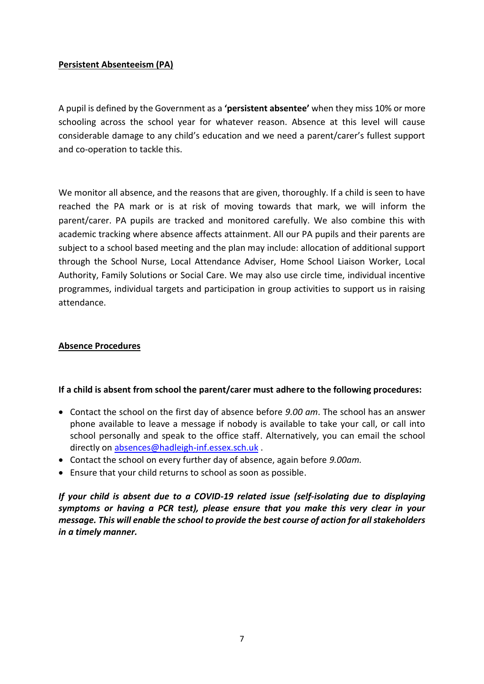# **Persistent Absenteeism (PA)**

A pupil is defined by the Government as a **'persistent absentee'** when they miss 10% or more schooling across the school year for whatever reason. Absence at this level will cause considerable damage to any child's education and we need a parent/carer's fullest support and co-operation to tackle this.

We monitor all absence, and the reasons that are given, thoroughly. If a child is seen to have reached the PA mark or is at risk of moving towards that mark, we will inform the parent/carer. PA pupils are tracked and monitored carefully. We also combine this with academic tracking where absence affects attainment. All our PA pupils and their parents are subject to a school based meeting and the plan may include: allocation of additional support through the School Nurse, Local Attendance Adviser, Home School Liaison Worker, Local Authority, Family Solutions or Social Care. We may also use circle time, individual incentive programmes, individual targets and participation in group activities to support us in raising attendance.

# **Absence Procedures**

#### **If a child is absent from school the parent/carer must adhere to the following procedures:**

- Contact the school on the first day of absence before *9.00 am*. The school has an answer phone available to leave a message if nobody is available to take your call, or call into school personally and speak to the office staff. Alternatively, you can email the school directly o[n absences@hadleigh-inf.essex.sch.uk](mailto:absences@hadleigh-inf.essex.sch.uk).
- Contact the school on every further day of absence, again before *9.00am.*
- Ensure that your child returns to school as soon as possible.

*If your child is absent due to a COVID-19 related issue (self-isolating due to displaying symptoms or having a PCR test), please ensure that you make this very clear in your message. This will enable the school to provide the best course of action for all stakeholders in a timely manner.*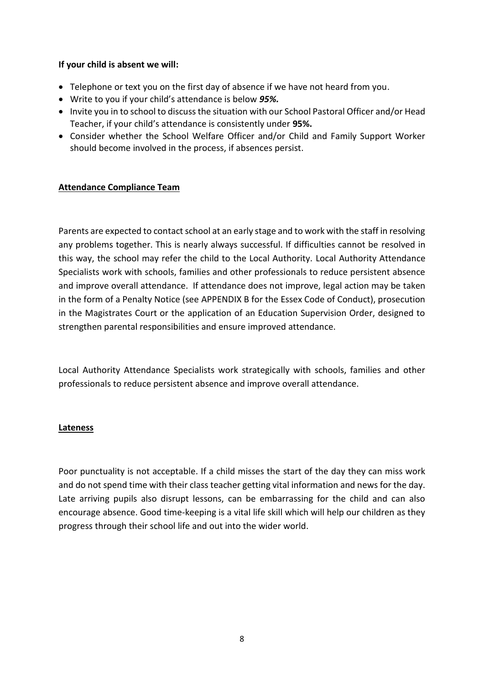# **If your child is absent we will:**

- Telephone or text you on the first day of absence if we have not heard from you.
- Write to you if your child's attendance is below *95%.*
- Invite you in to school to discuss the situation with our School Pastoral Officer and/or Head Teacher, if your child's attendance is consistently under **95%.**
- Consider whether the School Welfare Officer and/or Child and Family Support Worker should become involved in the process, if absences persist.

### **Attendance Compliance Team**

Parents are expected to contact school at an early stage and to work with the staff in resolving any problems together. This is nearly always successful. If difficulties cannot be resolved in this way, the school may refer the child to the Local Authority. Local Authority Attendance Specialists work with schools, families and other professionals to reduce persistent absence and improve overall attendance. If attendance does not improve, legal action may be taken in the form of a Penalty Notice (see APPENDIX B for the Essex Code of Conduct), prosecution in the Magistrates Court or the application of an Education Supervision Order, designed to strengthen parental responsibilities and ensure improved attendance.

Local Authority Attendance Specialists work strategically with schools, families and other professionals to reduce persistent absence and improve overall attendance.

#### **Lateness**

Poor punctuality is not acceptable. If a child misses the start of the day they can miss work and do not spend time with their class teacher getting vital information and news for the day. Late arriving pupils also disrupt lessons, can be embarrassing for the child and can also encourage absence. Good time-keeping is a vital life skill which will help our children as they progress through their school life and out into the wider world.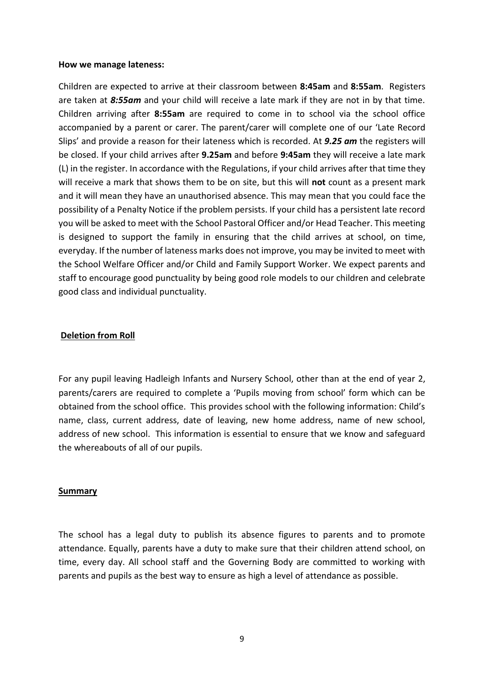#### **How we manage lateness:**

Children are expected to arrive at their classroom between **8:45am** and **8:55am**. Registers are taken at *8:55am* and your child will receive a late mark if they are not in by that time. Children arriving after **8:55am** are required to come in to school via the school office accompanied by a parent or carer. The parent/carer will complete one of our 'Late Record Slips' and provide a reason for their lateness which is recorded. At *9.25 am* the registers will be closed. If your child arrives after **9.25am** and before **9:45am** they will receive a late mark (L) in the register. In accordance with the Regulations, if your child arrives after that time they will receive a mark that shows them to be on site, but this will **not** count as a present mark and it will mean they have an unauthorised absence. This may mean that you could face the possibility of a Penalty Notice if the problem persists. If your child has a persistent late record you will be asked to meet with the School Pastoral Officer and/or Head Teacher. This meeting is designed to support the family in ensuring that the child arrives at school, on time, everyday. If the number of lateness marks does not improve, you may be invited to meet with the School Welfare Officer and/or Child and Family Support Worker. We expect parents and staff to encourage good punctuality by being good role models to our children and celebrate good class and individual punctuality.

#### **Deletion from Roll**

For any pupil leaving Hadleigh Infants and Nursery School, other than at the end of year 2, parents/carers are required to complete a 'Pupils moving from school' form which can be obtained from the school office. This provides school with the following information: Child's name, class, current address, date of leaving, new home address, name of new school, address of new school. This information is essential to ensure that we know and safeguard the whereabouts of all of our pupils.

#### **Summary**

The school has a legal duty to publish its absence figures to parents and to promote attendance. Equally, parents have a duty to make sure that their children attend school, on time, every day. All school staff and the Governing Body are committed to working with parents and pupils as the best way to ensure as high a level of attendance as possible.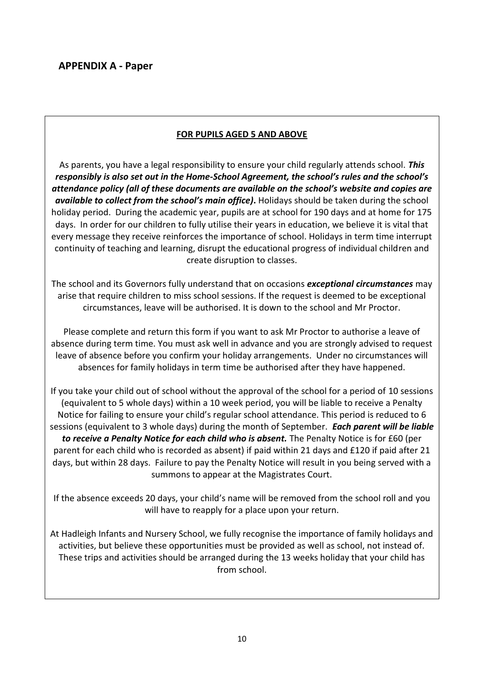# **FOR PUPILS AGED 5 AND ABOVE**

As parents, you have a legal responsibility to ensure your child regularly attends school. *This responsibly is also set out in the Home-School Agreement, the school's rules and the school's attendance policy (all of these documents are available on the school's website and copies are available to collect from the school's main office)***.** Holidays should be taken during the school holiday period. During the academic year, pupils are at school for 190 days and at home for 175 days. In order for our children to fully utilise their years in education, we believe it is vital that every message they receive reinforces the importance of school. Holidays in term time interrupt continuity of teaching and learning, disrupt the educational progress of individual children and create disruption to classes.

The school and its Governors fully understand that on occasions *exceptional circumstances* may arise that require children to miss school sessions. If the request is deemed to be exceptional circumstances, leave will be authorised. It is down to the school and Mr Proctor.

Please complete and return this form if you want to ask Mr Proctor to authorise a leave of absence during term time. You must ask well in advance and you are strongly advised to request leave of absence before you confirm your holiday arrangements. Under no circumstances will absences for family holidays in term time be authorised after they have happened.

If you take your child out of school without the approval of the school for a period of 10 sessions (equivalent to 5 whole days) within a 10 week period, you will be liable to receive a Penalty Notice for failing to ensure your child's regular school attendance. This period is reduced to 6 sessions (equivalent to 3 whole days) during the month of September. *Each parent will be liable to receive a Penalty Notice for each child who is absent.* The Penalty Notice is for £60 (per parent for each child who is recorded as absent) if paid within 21 days and £120 if paid after 21 days, but within 28 days. Failure to pay the Penalty Notice will result in you being served with a summons to appear at the Magistrates Court.

If the absence exceeds 20 days, your child's name will be removed from the school roll and you will have to reapply for a place upon your return.

At Hadleigh Infants and Nursery School, we fully recognise the importance of family holidays and activities, but believe these opportunities must be provided as well as school, not instead of. These trips and activities should be arranged during the 13 weeks holiday that your child has from school.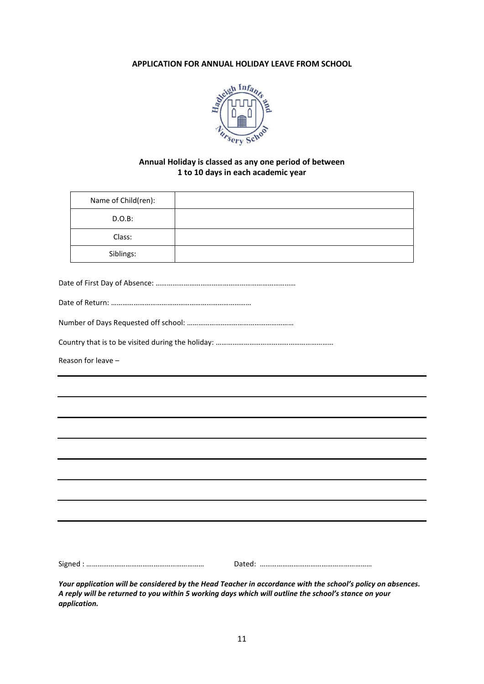#### **APPLICATION FOR ANNUAL HOLIDAY LEAVE FROM SCHOOL**



#### **Annual Holiday is classed as any one period of between 1 to 10 days in each academic year**

| Name of Child(ren): |  |
|---------------------|--|
| D.O.B:              |  |
| Class:              |  |
| Siblings:           |  |

|--|--|

|--|

|--|--|--|--|--|--|--|--|

Country that is to be visited during the holiday: ………………………………………………………

Reason for leave –

Signed : ……………………………………………………… Dated: ……………………………………………………

*Your application will be considered by the Head Teacher in accordance with the school's policy on absences. A reply will be returned to you within 5 working days which will outline the school's stance on your application.*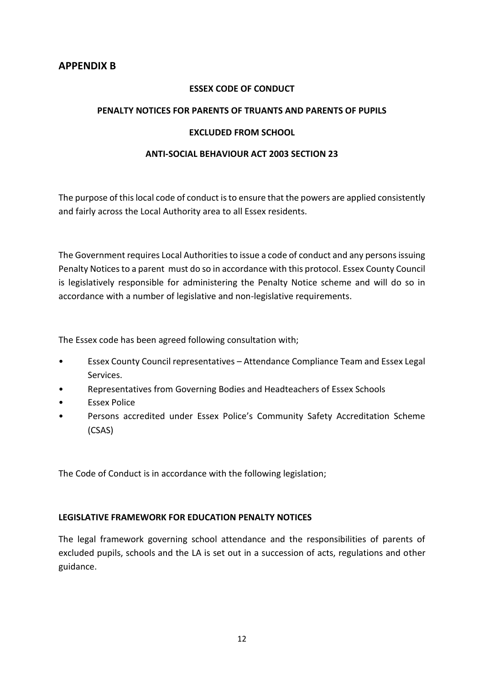#### **ESSEX CODE OF CONDUCT**

#### **PENALTY NOTICES FOR PARENTS OF TRUANTS AND PARENTS OF PUPILS**

#### **EXCLUDED FROM SCHOOL**

#### **ANTI-SOCIAL BEHAVIOUR ACT 2003 SECTION 23**

The purpose of this local code of conduct is to ensure that the powers are applied consistently and fairly across the Local Authority area to all Essex residents.

The Government requires Local Authorities to issue a code of conduct and any persons issuing Penalty Notices to a parent must do so in accordance with this protocol. Essex County Council is legislatively responsible for administering the Penalty Notice scheme and will do so in accordance with a number of legislative and non-legislative requirements.

The Essex code has been agreed following consultation with;

- Essex County Council representatives Attendance Compliance Team and Essex Legal Services.
- Representatives from Governing Bodies and Headteachers of Essex Schools
- Essex Police
- Persons accredited under Essex Police's Community Safety Accreditation Scheme (CSAS)

The Code of Conduct is in accordance with the following legislation;

#### **LEGISLATIVE FRAMEWORK FOR EDUCATION PENALTY NOTICES**

The legal framework governing school attendance and the responsibilities of parents of excluded pupils, schools and the LA is set out in a succession of acts, regulations and other guidance.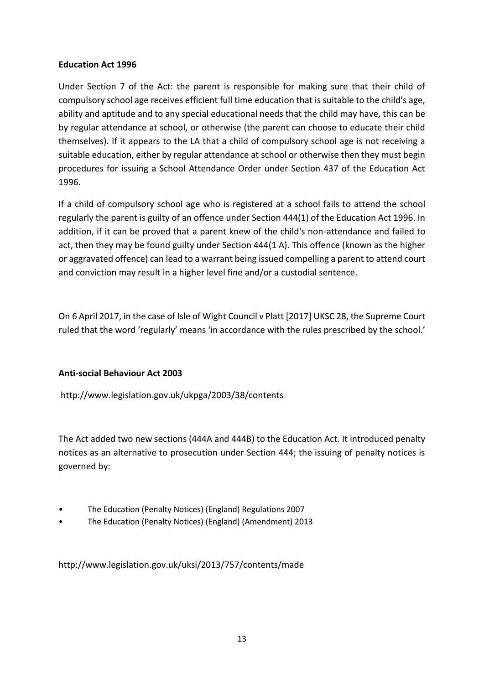# **Education Act 1996**

Under Section 7 of the Act: the parent is responsible for making sure that their child of compulsory school age receives efficient full time education that is suitable to the child's age, ability and aptitude and to any special educational needs that the child may have, this can be by regular attendance at school, or otherwise (the parent can choose to educate their child themselves). If it appears to the LA that a child of compulsory school age is not receiving a suitable education, either by regular attendance at school or otherwise then they must begin procedures for issuing a School Attendance Order under Section 437 of the Education Act 1996.

If a child of compulsory school age who is registered at a school fails to attend the school regularly the parent is guilty of an offence under Section 444(1) of the Education Act 1996. In addition, if it can be proved that a parent knew of the child's non-attendance and failed to act, then they may be found guilty under Section 444(1 A). This offence (known as the higher or aggravated offence) can lead to a warrant being issued compelling a parent to attend court and conviction may result in a higher level fine and/or a custodial sentence.

On 6 April 2017, in the case of Isle of Wight Council v Platt [2017] UKSC 28, the Supreme Court ruled that the word 'regularly' means 'in accordance with the rules prescribed by the school.'

# **Anti-social Behaviour Act 2003**

http://www.legislation.gov.uk/ukpga/2003/38/contents

The Act added two new sections (444A and 444B) to the Education Act. It introduced penalty notices as an alternative to prosecution under Section 444; the issuing of penalty notices is governed by:

- The Education (Penalty Notices) (England) Regulations 2007
- The Education (Penalty Notices) (England) (Amendment) 2013

http://www.legislation.gov.uk/uksi/2013/757/contents/made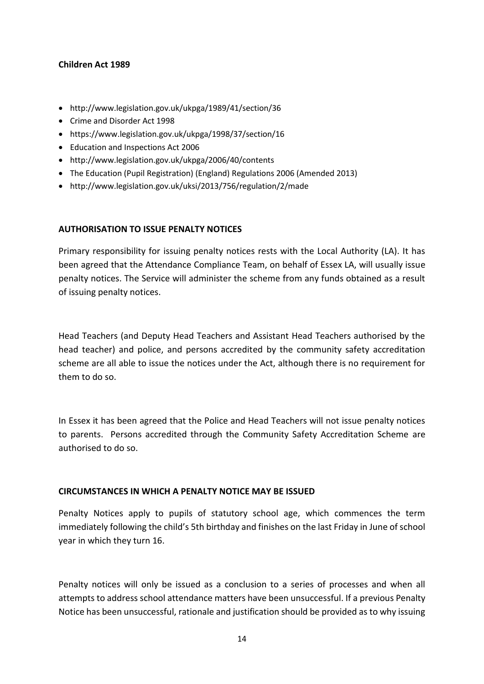### **Children Act 1989**

- http://www.legislation.gov.uk/ukpga/1989/41/section/36
- Crime and Disorder Act 1998
- https://www.legislation.gov.uk/ukpga/1998/37/section/16
- Education and Inspections Act 2006
- http://www.legislation.gov.uk/ukpga/2006/40/contents
- The Education (Pupil Registration) (England) Regulations 2006 (Amended 2013)
- http://www.legislation.gov.uk/uksi/2013/756/regulation/2/made

#### **AUTHORISATION TO ISSUE PENALTY NOTICES**

Primary responsibility for issuing penalty notices rests with the Local Authority (LA). It has been agreed that the Attendance Compliance Team, on behalf of Essex LA, will usually issue penalty notices. The Service will administer the scheme from any funds obtained as a result of issuing penalty notices.

Head Teachers (and Deputy Head Teachers and Assistant Head Teachers authorised by the head teacher) and police, and persons accredited by the community safety accreditation scheme are all able to issue the notices under the Act, although there is no requirement for them to do so.

In Essex it has been agreed that the Police and Head Teachers will not issue penalty notices to parents. Persons accredited through the Community Safety Accreditation Scheme are authorised to do so.

#### **CIRCUMSTANCES IN WHICH A PENALTY NOTICE MAY BE ISSUED**

Penalty Notices apply to pupils of statutory school age, which commences the term immediately following the child's 5th birthday and finishes on the last Friday in June of school year in which they turn 16.

Penalty notices will only be issued as a conclusion to a series of processes and when all attempts to address school attendance matters have been unsuccessful. If a previous Penalty Notice has been unsuccessful, rationale and justification should be provided as to why issuing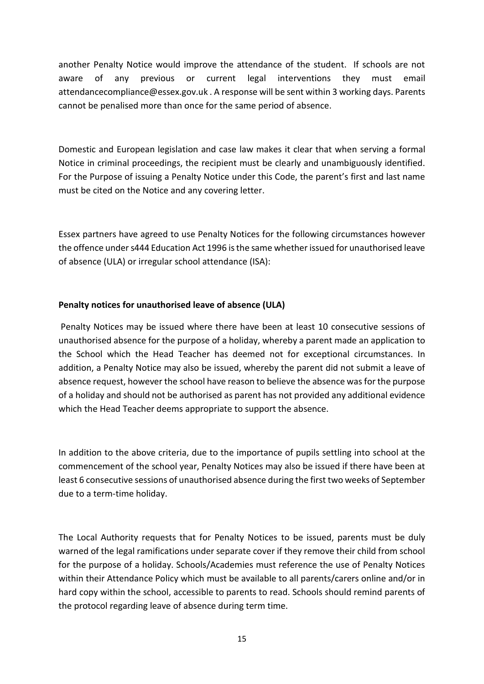another Penalty Notice would improve the attendance of the student. If schools are not aware of any previous or current legal interventions they must email attendancecompliance@essex.gov.uk . A response will be sent within 3 working days. Parents cannot be penalised more than once for the same period of absence.

Domestic and European legislation and case law makes it clear that when serving a formal Notice in criminal proceedings, the recipient must be clearly and unambiguously identified. For the Purpose of issuing a Penalty Notice under this Code, the parent's first and last name must be cited on the Notice and any covering letter.

Essex partners have agreed to use Penalty Notices for the following circumstances however the offence under s444 Education Act 1996 is the same whether issued for unauthorised leave of absence (ULA) or irregular school attendance (ISA):

# **Penalty notices for unauthorised leave of absence (ULA)**

Penalty Notices may be issued where there have been at least 10 consecutive sessions of unauthorised absence for the purpose of a holiday, whereby a parent made an application to the School which the Head Teacher has deemed not for exceptional circumstances. In addition, a Penalty Notice may also be issued, whereby the parent did not submit a leave of absence request, however the school have reason to believe the absence was for the purpose of a holiday and should not be authorised as parent has not provided any additional evidence which the Head Teacher deems appropriate to support the absence.

In addition to the above criteria, due to the importance of pupils settling into school at the commencement of the school year, Penalty Notices may also be issued if there have been at least 6 consecutive sessions of unauthorised absence during the first two weeks of September due to a term-time holiday.

The Local Authority requests that for Penalty Notices to be issued, parents must be duly warned of the legal ramifications under separate cover if they remove their child from school for the purpose of a holiday. Schools/Academies must reference the use of Penalty Notices within their Attendance Policy which must be available to all parents/carers online and/or in hard copy within the school, accessible to parents to read. Schools should remind parents of the protocol regarding leave of absence during term time.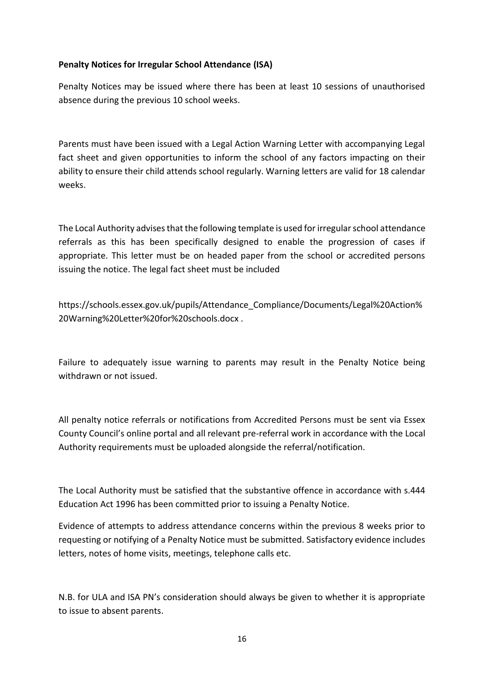# **Penalty Notices for Irregular School Attendance (ISA)**

Penalty Notices may be issued where there has been at least 10 sessions of unauthorised absence during the previous 10 school weeks.

Parents must have been issued with a Legal Action Warning Letter with accompanying Legal fact sheet and given opportunities to inform the school of any factors impacting on their ability to ensure their child attends school regularly. Warning letters are valid for 18 calendar weeks.

The Local Authority advises that the following template is used for irregular school attendance referrals as this has been specifically designed to enable the progression of cases if appropriate. This letter must be on headed paper from the school or accredited persons issuing the notice. The legal fact sheet must be included

https://schools.essex.gov.uk/pupils/Attendance\_Compliance/Documents/Legal%20Action% 20Warning%20Letter%20for%20schools.docx .

Failure to adequately issue warning to parents may result in the Penalty Notice being withdrawn or not issued.

All penalty notice referrals or notifications from Accredited Persons must be sent via Essex County Council's online portal and all relevant pre-referral work in accordance with the Local Authority requirements must be uploaded alongside the referral/notification.

The Local Authority must be satisfied that the substantive offence in accordance with s.444 Education Act 1996 has been committed prior to issuing a Penalty Notice.

Evidence of attempts to address attendance concerns within the previous 8 weeks prior to requesting or notifying of a Penalty Notice must be submitted. Satisfactory evidence includes letters, notes of home visits, meetings, telephone calls etc.

N.B. for ULA and ISA PN's consideration should always be given to whether it is appropriate to issue to absent parents.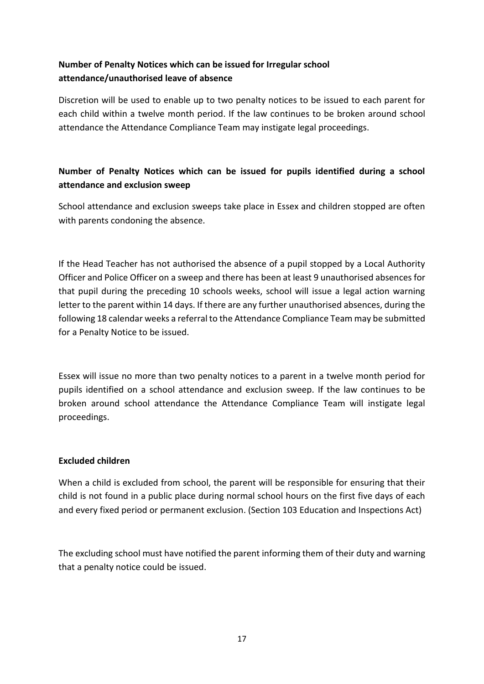# **Number of Penalty Notices which can be issued for Irregular school attendance/unauthorised leave of absence**

Discretion will be used to enable up to two penalty notices to be issued to each parent for each child within a twelve month period. If the law continues to be broken around school attendance the Attendance Compliance Team may instigate legal proceedings.

# **Number of Penalty Notices which can be issued for pupils identified during a school attendance and exclusion sweep**

School attendance and exclusion sweeps take place in Essex and children stopped are often with parents condoning the absence.

If the Head Teacher has not authorised the absence of a pupil stopped by a Local Authority Officer and Police Officer on a sweep and there has been at least 9 unauthorised absences for that pupil during the preceding 10 schools weeks, school will issue a legal action warning letter to the parent within 14 days. If there are any further unauthorised absences, during the following 18 calendar weeks a referral to the Attendance Compliance Team may be submitted for a Penalty Notice to be issued.

Essex will issue no more than two penalty notices to a parent in a twelve month period for pupils identified on a school attendance and exclusion sweep. If the law continues to be broken around school attendance the Attendance Compliance Team will instigate legal proceedings.

# **Excluded children**

When a child is excluded from school, the parent will be responsible for ensuring that their child is not found in a public place during normal school hours on the first five days of each and every fixed period or permanent exclusion. (Section 103 Education and Inspections Act)

The excluding school must have notified the parent informing them of their duty and warning that a penalty notice could be issued.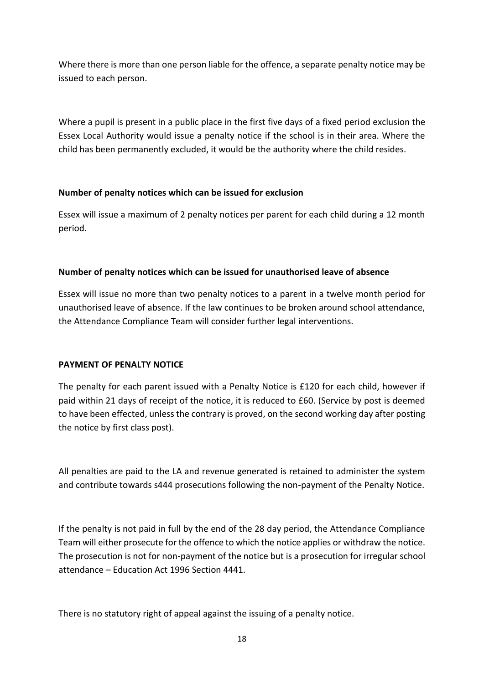Where there is more than one person liable for the offence, a separate penalty notice may be issued to each person.

Where a pupil is present in a public place in the first five days of a fixed period exclusion the Essex Local Authority would issue a penalty notice if the school is in their area. Where the child has been permanently excluded, it would be the authority where the child resides.

# **Number of penalty notices which can be issued for exclusion**

Essex will issue a maximum of 2 penalty notices per parent for each child during a 12 month period.

# **Number of penalty notices which can be issued for unauthorised leave of absence**

Essex will issue no more than two penalty notices to a parent in a twelve month period for unauthorised leave of absence. If the law continues to be broken around school attendance, the Attendance Compliance Team will consider further legal interventions.

# **PAYMENT OF PENALTY NOTICE**

The penalty for each parent issued with a Penalty Notice is £120 for each child, however if paid within 21 days of receipt of the notice, it is reduced to £60. (Service by post is deemed to have been effected, unless the contrary is proved, on the second working day after posting the notice by first class post).

All penalties are paid to the LA and revenue generated is retained to administer the system and contribute towards s444 prosecutions following the non-payment of the Penalty Notice.

If the penalty is not paid in full by the end of the 28 day period, the Attendance Compliance Team will either prosecute for the offence to which the notice applies or withdraw the notice. The prosecution is not for non-payment of the notice but is a prosecution for irregular school attendance – Education Act 1996 Section 4441.

There is no statutory right of appeal against the issuing of a penalty notice.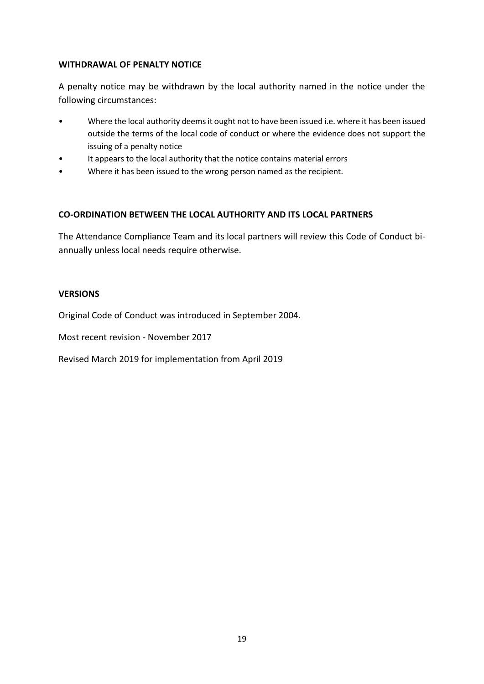### **WITHDRAWAL OF PENALTY NOTICE**

A penalty notice may be withdrawn by the local authority named in the notice under the following circumstances:

- Where the local authority deems it ought not to have been issued i.e. where it has been issued outside the terms of the local code of conduct or where the evidence does not support the issuing of a penalty notice
- It appears to the local authority that the notice contains material errors
- Where it has been issued to the wrong person named as the recipient.

### **CO-ORDINATION BETWEEN THE LOCAL AUTHORITY AND ITS LOCAL PARTNERS**

The Attendance Compliance Team and its local partners will review this Code of Conduct biannually unless local needs require otherwise.

#### **VERSIONS**

Original Code of Conduct was introduced in September 2004.

Most recent revision - November 2017

Revised March 2019 for implementation from April 2019